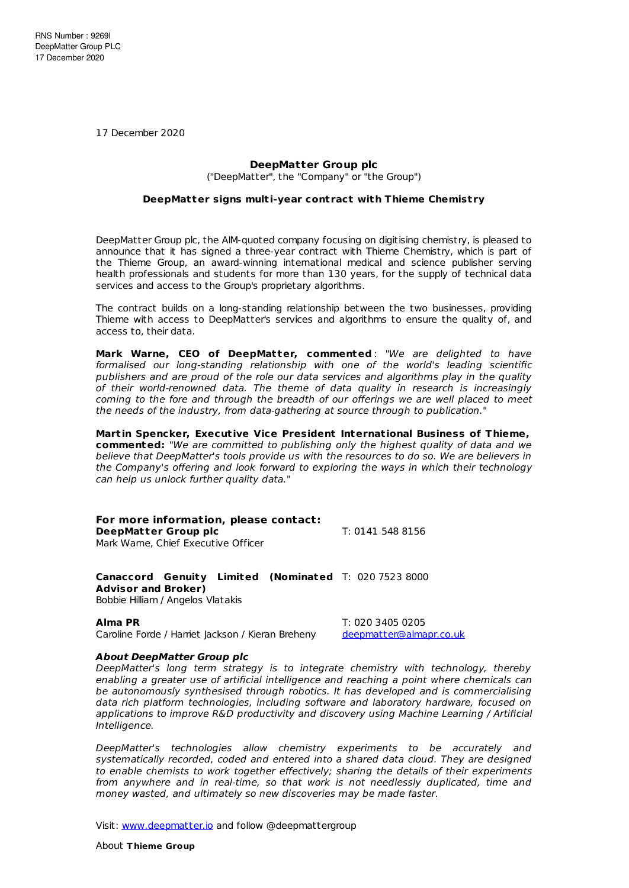17 December 2020

## **DeepMatter Group plc**

("DeepMatter", the "Company" or "the Group")

## **DeepMat ter signs mult i-year cont ract with Thieme Chemist ry**

DeepMatter Group plc, the AIM-quoted company focusing on digitising chemistry, is pleased to announce that it has signed a three-year contract with Thieme Chemistry, which is part of the Thieme Group, an award-winning international medical and science publisher serving health professionals and students for more than 130 years, for the supply of technical data services and access to the Group's proprietary algorithms.

The contract builds on a long-standing relationship between the two businesses, providing Thieme with access to DeepMatter's services and algorithms to ensure the quality of, and access to, their data.

**Mark Warne, CEO of DeepMat ter, commented** : "We are delighted to have formalised our long-standing relationship with one of the world's leading scientific publishers and are proud of the role our data services and algorithms play in the quality of their world-renowned data. The theme of data quality in research is increasingly coming to the fore and through the breadth of our offerings we are well placed to meet the needs of the industry, from data-gathering at source through to publication."

**Mart in Spencker, Execut ive Vice President Internat ional Business of Thieme, commented:** "We are committed to publishing only the highest quality of data and we believe that DeepMatter's tools provide us with the resources to do so. We are believers in the Company's offering and look forward to exploring the ways in which their technology can help us unlock further quality data."

**For more information, please contact: DeepMatter Group plc** T: 0141 548 8156 Mark Warne, Chief Executive Officer

**Canaccord Genuity Limited (Nominated** T: 020 7523 8000 **Advisor and Broker)** Bobbie Hilliam / Angelos Vlatakis

Caroline Forde / Harriet Jackson / Kieran Breheny [deepmatter@almapr.co.uk](mailto:deepmatter@almapr.co.uk)

**Alma PR** T: 020 3405 0205

## **About DeepMatter Group plc**

DeepMatter's long term strategy is to integrate chemistry with technology, thereby enabling a greater use of artificial intelligence and reaching a point where chemicals can be autonomously synthesised through robotics. It has developed and is commercialising data rich platform technologies, including software and laboratory hardware, focused on applications to improve R&D productivity and discovery using Machine Learning / Artificial Intelligence.

DeepMatter's technologies allow chemistry experiments to be accurately and systematically recorded, coded and entered into a shared data cloud. They are designed to enable chemists to work together effectively; sharing the details of their experiments from anywhere and in real-time, so that work is not needlessly duplicated, time and money wasted, and ultimately so new discoveries may be made faster.

Visit: [www.deepmatter.io](https://www.deepmatter.io/) and follow @deepmattergroup

About **T hieme Group**